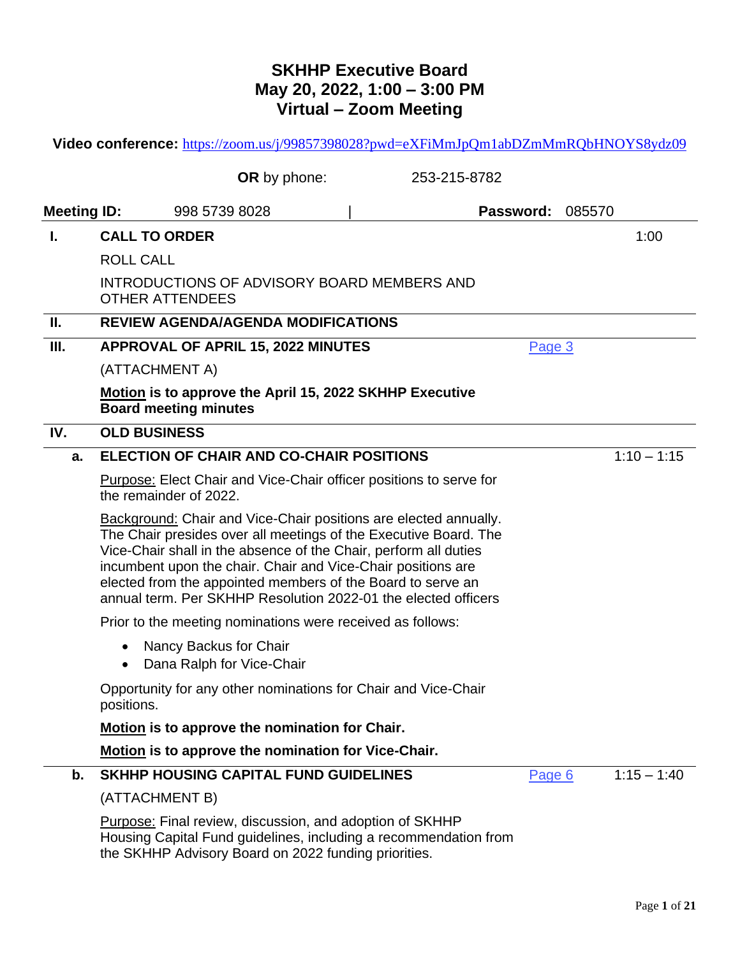# **SKHHP Executive Board May 20, 2022, 1:00 – 3:00 PM Virtual – Zoom Meeting**

| Video conference: https://zoom.us/j/99857398028?pwd=eXFiMmJpQm1abDZmMmRQbHNOYS8ydz09 |                                                                                                                                                                                                                                                                                                                                                                                                                  |              |               |  |  |  |
|--------------------------------------------------------------------------------------|------------------------------------------------------------------------------------------------------------------------------------------------------------------------------------------------------------------------------------------------------------------------------------------------------------------------------------------------------------------------------------------------------------------|--------------|---------------|--|--|--|
|                                                                                      | OR by phone:                                                                                                                                                                                                                                                                                                                                                                                                     | 253-215-8782 |               |  |  |  |
| <b>Meeting ID:</b>                                                                   | 998 5739 8028                                                                                                                                                                                                                                                                                                                                                                                                    | Password:    | 085570        |  |  |  |
| L.                                                                                   | <b>CALL TO ORDER</b>                                                                                                                                                                                                                                                                                                                                                                                             |              | 1:00          |  |  |  |
|                                                                                      | <b>ROLL CALL</b>                                                                                                                                                                                                                                                                                                                                                                                                 |              |               |  |  |  |
|                                                                                      | INTRODUCTIONS OF ADVISORY BOARD MEMBERS AND<br><b>OTHER ATTENDEES</b>                                                                                                                                                                                                                                                                                                                                            |              |               |  |  |  |
| II.                                                                                  | <b>REVIEW AGENDA/AGENDA MODIFICATIONS</b>                                                                                                                                                                                                                                                                                                                                                                        |              |               |  |  |  |
| Ш.                                                                                   | <b>APPROVAL OF APRIL 15, 2022 MINUTES</b>                                                                                                                                                                                                                                                                                                                                                                        | Page 3       |               |  |  |  |
|                                                                                      | (ATTACHMENT A)                                                                                                                                                                                                                                                                                                                                                                                                   |              |               |  |  |  |
|                                                                                      | Motion is to approve the April 15, 2022 SKHHP Executive<br><b>Board meeting minutes</b>                                                                                                                                                                                                                                                                                                                          |              |               |  |  |  |
| IV.                                                                                  | <b>OLD BUSINESS</b>                                                                                                                                                                                                                                                                                                                                                                                              |              |               |  |  |  |
| a.                                                                                   | <b>ELECTION OF CHAIR AND CO-CHAIR POSITIONS</b>                                                                                                                                                                                                                                                                                                                                                                  |              | $1:10 - 1:15$ |  |  |  |
|                                                                                      | <b>Purpose: Elect Chair and Vice-Chair officer positions to serve for</b><br>the remainder of 2022.                                                                                                                                                                                                                                                                                                              |              |               |  |  |  |
|                                                                                      | <b>Background:</b> Chair and Vice-Chair positions are elected annually.<br>The Chair presides over all meetings of the Executive Board. The<br>Vice-Chair shall in the absence of the Chair, perform all duties<br>incumbent upon the chair. Chair and Vice-Chair positions are<br>elected from the appointed members of the Board to serve an<br>annual term. Per SKHHP Resolution 2022-01 the elected officers |              |               |  |  |  |
|                                                                                      | Prior to the meeting nominations were received as follows:                                                                                                                                                                                                                                                                                                                                                       |              |               |  |  |  |
|                                                                                      | Nancy Backus for Chair<br>$\bullet$<br>Dana Ralph for Vice-Chair                                                                                                                                                                                                                                                                                                                                                 |              |               |  |  |  |
|                                                                                      | Opportunity for any other nominations for Chair and Vice-Chair<br>positions.                                                                                                                                                                                                                                                                                                                                     |              |               |  |  |  |
|                                                                                      | Motion is to approve the nomination for Chair.                                                                                                                                                                                                                                                                                                                                                                   |              |               |  |  |  |
|                                                                                      | Motion is to approve the nomination for Vice-Chair.                                                                                                                                                                                                                                                                                                                                                              |              |               |  |  |  |
| b.                                                                                   | <b>SKHHP HOUSING CAPITAL FUND GUIDELINES</b>                                                                                                                                                                                                                                                                                                                                                                     | Page 6       | $1:15 - 1:40$ |  |  |  |
|                                                                                      | (ATTACHMENT B)                                                                                                                                                                                                                                                                                                                                                                                                   |              |               |  |  |  |
|                                                                                      | <b>Purpose:</b> Final review, discussion, and adoption of SKHHP<br>Housing Capital Fund guidelines, including a recommendation from<br>the SKHHP Advisory Board on 2022 funding priorities.                                                                                                                                                                                                                      |              |               |  |  |  |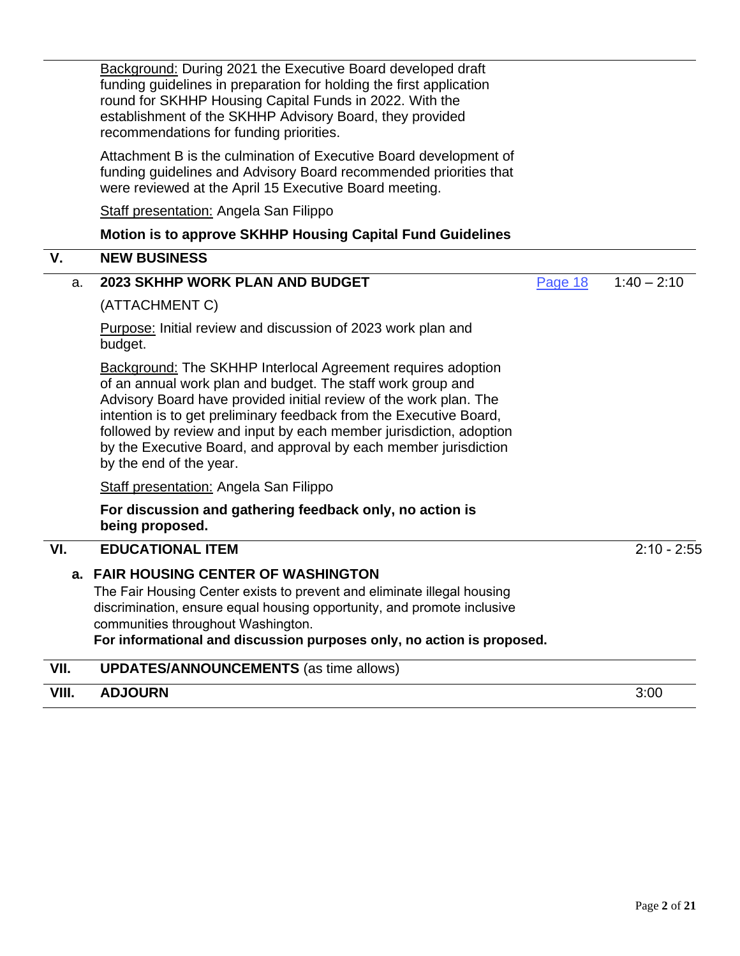Background: During 2021 the Executive Board developed draft funding guidelines in preparation for holding the first application round for SKHHP Housing Capital Funds in 2022. With the establishment of the SKHHP Advisory Board, they provided recommendations for funding priorities. Attachment B is the culmination of Executive Board development of funding guidelines and Advisory Board recommended priorities that were reviewed at the April 15 Executive Board meeting. **Staff presentation: Angela San Filippo Motion is to approve SKHHP Housing Capital Fund Guidelines V. NEW BUSINESS** a. **2023 SKHHP WORK PLAN AND BUDGET** (ATTACHMENT C) Purpose: Initial review and discussion of 2023 work plan and budget. Background: The SKHHP Interlocal Agreement requires adoption of an annual work plan and budget. The staff work group and Advisory Board have provided initial review of the work plan. The intention is to get preliminary feedback from the Executive Board, followed by review and input by each member jurisdiction, adoption by the Executive Board, and approval by each member jurisdiction by the end of the year. Staff presentation: Angela San Filippo **For discussion and gathering feedback only, no action is being proposed.** [Page 18](#page-14-0) 1:40 – 2:10 **VI. EDUCATIONAL ITEM** 2:10 - 2:55 **a. FAIR HOUSING CENTER OF WASHINGTON** The Fair Housing Center exists to prevent and eliminate illegal housing discrimination, ensure equal housing opportunity, and promote inclusive communities throughout Washington. **For informational and discussion purposes only, no action is proposed. VII. UPDATES/ANNOUNCEMENTS** (as time allows)

### **VIII. ADJOURN** 3:00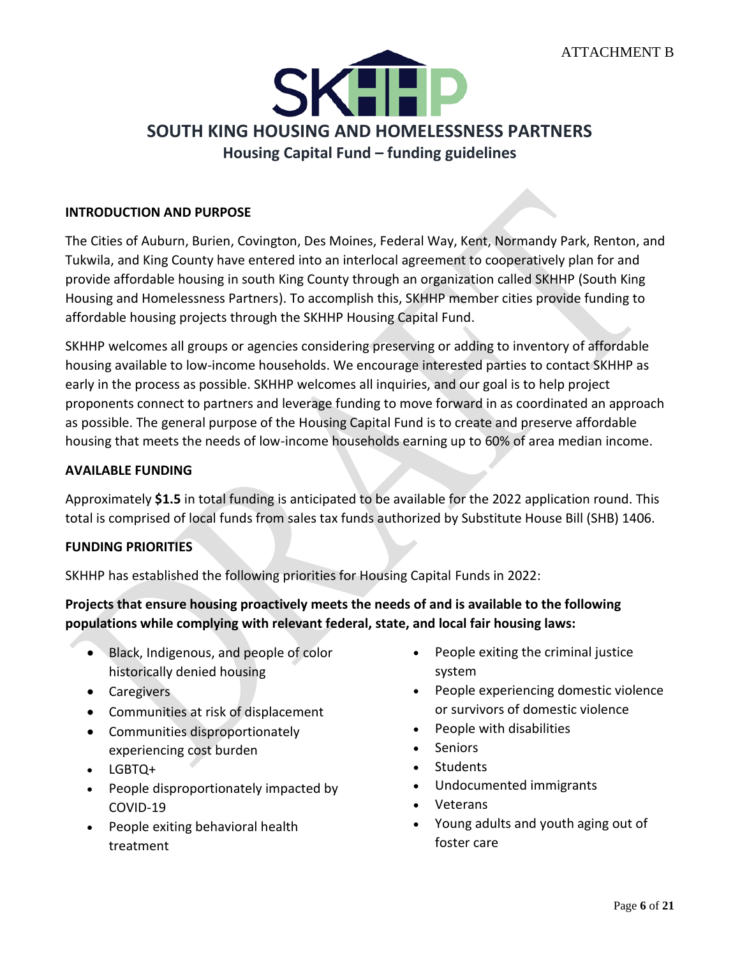<span id="page-2-0"></span>

### **INTRODUCTION AND PURPOSE**

The Cities of Auburn, Burien, Covington, Des Moines, Federal Way, Kent, Normandy Park, Renton, and Tukwila, and King County have entered into an interlocal agreement to cooperatively plan for and provide affordable housing in south King County through an organization called SKHHP (South King Housing and Homelessness Partners). To accomplish this, SKHHP member cities provide funding to affordable housing projects through the SKHHP Housing Capital Fund.

SKHHP welcomes all groups or agencies considering preserving or adding to inventory of affordable housing available to low-income households. We encourage interested parties to contact SKHHP as early in the process as possible. SKHHP welcomes all inquiries, and our goal is to help project proponents connect to partners and leverage funding to move forward in as coordinated an approach as possible. The general purpose of the Housing Capital Fund is to create and preserve affordable housing that meets the needs of low-income households earning up to 60% of area median income.

#### **AVAILABLE FUNDING**

Approximately **\$1.5** in total funding is anticipated to be available for the 2022 application round. This total is comprised of local funds from sales tax funds authorized by Substitute House Bill (SHB) 1406.

#### **FUNDING PRIORITIES**

SKHHP has established the following priorities for Housing Capital Funds in 2022:

**Projects that ensure housing proactively meets the needs of and is available to the following populations while complying with relevant federal, state, and local fair housing laws:** 

- Black, Indigenous, and people of color historically denied housing
- Caregivers
- Communities at risk of displacement
- Communities disproportionately experiencing cost burden
- LGBTQ+
- People disproportionately impacted by COVID-19
- People exiting behavioral health treatment
- People exiting the criminal justice system
- People experiencing domestic violence or survivors of domestic violence
- People with disabilities
- Seniors
- Students
- Undocumented immigrants
- Veterans
- Young adults and youth aging out of foster care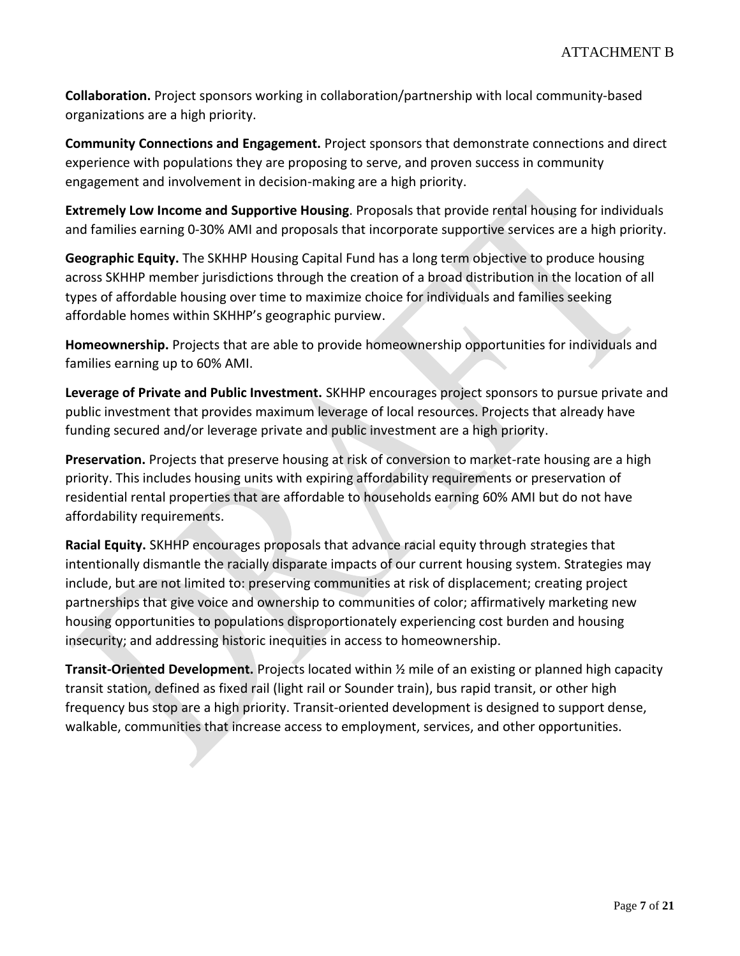**Collaboration.** Project sponsors working in collaboration/partnership with local community-based organizations are a high priority.

**Community Connections and Engagement.** Project sponsors that demonstrate connections and direct experience with populations they are proposing to serve, and proven success in community engagement and involvement in decision-making are a high priority.

**Extremely Low Income and Supportive Housing**. Proposals that provide rental housing for individuals and families earning 0-30% AMI and proposals that incorporate supportive services are a high priority.

**Geographic Equity.** The SKHHP Housing Capital Fund has a long term objective to produce housing across SKHHP member jurisdictions through the creation of a broad distribution in the location of all types of affordable housing over time to maximize choice for individuals and families seeking affordable homes within SKHHP's geographic purview.

**Homeownership.** Projects that are able to provide homeownership opportunities for individuals and families earning up to 60% AMI.

**Leverage of Private and Public Investment.** SKHHP encourages project sponsors to pursue private and public investment that provides maximum leverage of local resources. Projects that already have funding secured and/or leverage private and public investment are a high priority.

**Preservation.** Projects that preserve housing at risk of conversion to market-rate housing are a high priority. This includes housing units with expiring affordability requirements or preservation of residential rental properties that are affordable to households earning 60% AMI but do not have affordability requirements.

**Racial Equity.** SKHHP encourages proposals that advance racial equity through strategies that intentionally dismantle the racially disparate impacts of our current housing system. Strategies may include, but are not limited to: preserving communities at risk of displacement; creating project partnerships that give voice and ownership to communities of color; affirmatively marketing new housing opportunities to populations disproportionately experiencing cost burden and housing insecurity; and addressing historic inequities in access to homeownership.

**Transit-Oriented Development.** Projects located within ½ mile of an existing or planned high capacity transit station, defined as fixed rail (light rail or Sounder train), bus rapid transit, or other high frequency bus stop are a high priority. Transit-oriented development is designed to support dense, walkable, communities that increase access to employment, services, and other opportunities.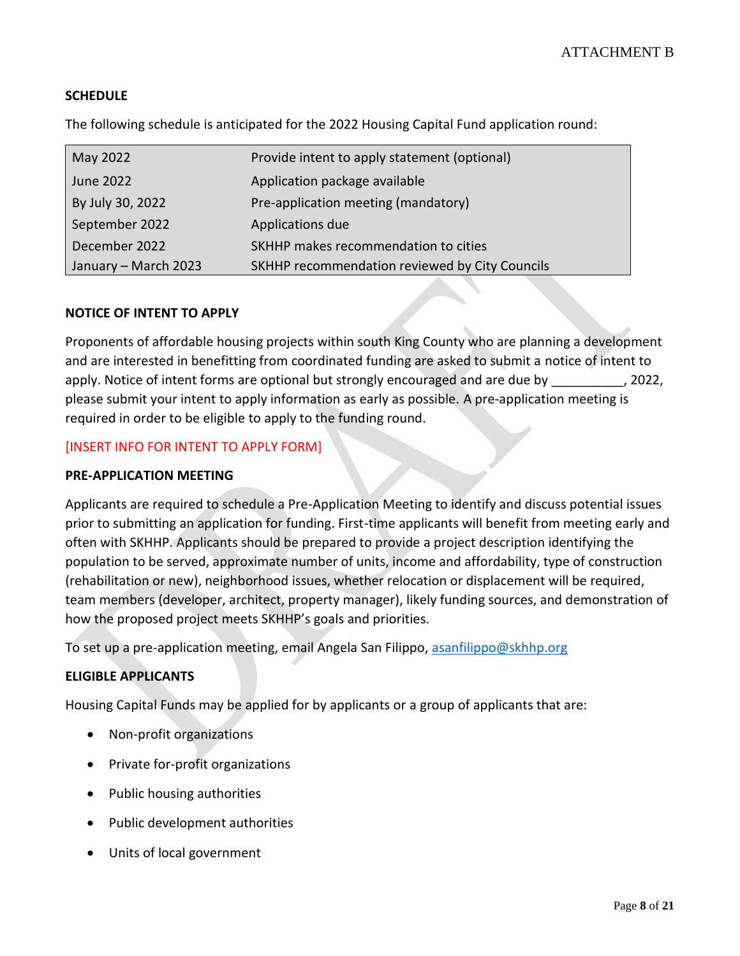# **SCHEDULE**

The following schedule is anticipated for the 2022 Housing Capital Fund application round:

| May 2022             | Provide intent to apply statement (optional)   |
|----------------------|------------------------------------------------|
| June 2022            | Application package available                  |
| By July 30, 2022     | Pre-application meeting (mandatory)            |
| September 2022       | Applications due                               |
| December 2022        | SKHHP makes recommendation to cities           |
| January - March 2023 | SKHHP recommendation reviewed by City Councils |

#### **NOTICE OF INTENT TO APPLY**

Proponents of affordable housing projects within south King County who are planning a development and are interested in benefitting from coordinated funding are asked to submit a notice of intent to apply. Notice of intent forms are optional but strongly encouraged and are due by . 2022, please submit your intent to apply information as early as possible. A pre-application meeting is required in order to be eligible to apply to the funding round.

#### [INSERT INFO FOR INTENT TO APPLY FORM]

#### **PRE-APPLICATION MEETING**

Applicants are required to schedule a Pre-Application Meeting to identify and discuss potential issues prior to submitting an application for funding. First-time applicants will benefit from meeting early and often with SKHHP. Applicants should be prepared to provide a project description identifying the population to be served, approximate number of units, income and affordability, type of construction (rehabilitation or new), neighborhood issues, whether relocation or displacement will be required, team members (developer, architect, property manager), likely funding sources, and demonstration of how the proposed project meets SKHHP's goals and priorities.

To set up a pre-application meeting, email Angela San Filippo, [asanfilippo@skhhp.org](mailto:asanfilippo@skhhp.org)

#### **ELIGIBLE APPLICANTS**

Housing Capital Funds may be applied for by applicants or a group of applicants that are:

- Non-profit organizations
- Private for-profit organizations
- Public housing authorities
- Public development authorities
- Units of local government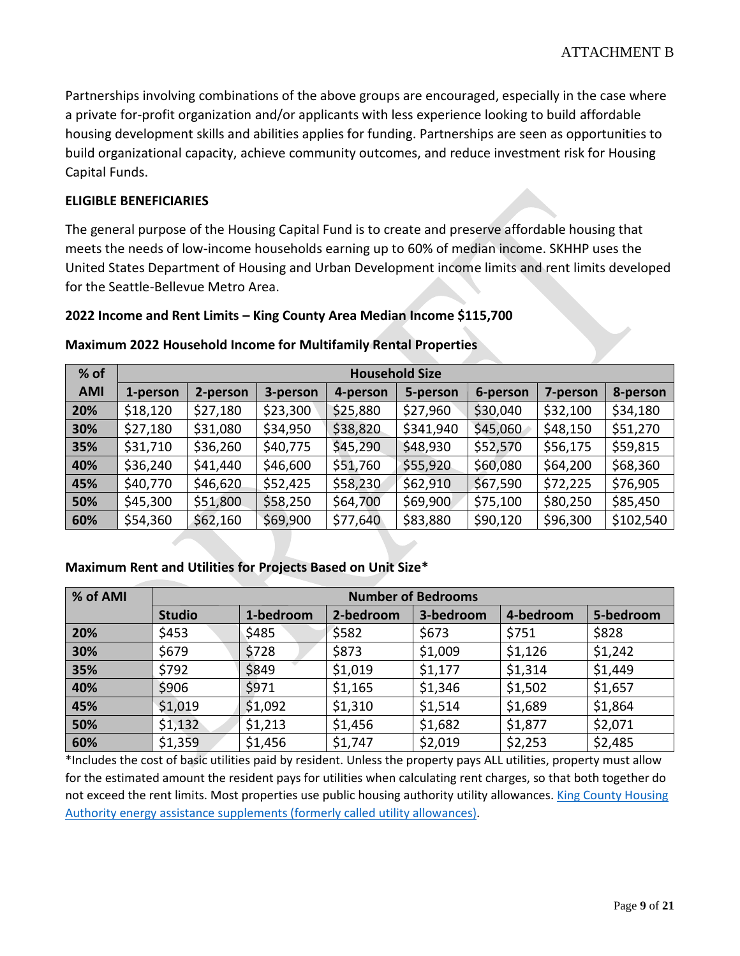Partnerships involving combinations of the above groups are encouraged, especially in the case where a private for-profit organization and/or applicants with less experience looking to build affordable housing development skills and abilities applies for funding. Partnerships are seen as opportunities to build organizational capacity, achieve community outcomes, and reduce investment risk for Housing Capital Funds.

### **ELIGIBLE BENEFICIARIES**

The general purpose of the Housing Capital Fund is to create and preserve affordable housing that meets the needs of low-income households earning up to 60% of median income. SKHHP uses the United States Department of Housing and Urban Development income limits and rent limits developed for the Seattle-Bellevue Metro Area.

#### **2022 Income and Rent Limits – King County Area Median Income \$115,700**

| % of       | <b>Household Size</b> |          |          |          |           |          |          |           |
|------------|-----------------------|----------|----------|----------|-----------|----------|----------|-----------|
| <b>AMI</b> | 1-person              | 2-person | 3-person | 4-person | 5-person  | 6-person | 7-person | 8-person  |
| 20%        | \$18,120              | \$27,180 | \$23,300 | \$25,880 | \$27,960  | \$30,040 | \$32,100 | \$34,180  |
| 30%        | \$27,180              | \$31,080 | \$34,950 | \$38,820 | \$341,940 | \$45,060 | \$48,150 | \$51,270  |
| 35%        | \$31,710              | \$36,260 | \$40,775 | \$45,290 | \$48,930  | \$52,570 | \$56,175 | \$59,815  |
| 40%        | \$36,240              | \$41,440 | \$46,600 | \$51,760 | \$55,920  | \$60,080 | \$64,200 | \$68,360  |
| 45%        | \$40,770              | \$46,620 | \$52,425 | \$58,230 | \$62,910  | \$67,590 | \$72,225 | \$76,905  |
| 50%        | \$45,300              | \$51,800 | \$58,250 | \$64,700 | \$69,900  | \$75,100 | \$80,250 | \$85,450  |
| 60%        | \$54,360              | \$62,160 | \$69,900 | \$77,640 | \$83,880  | \$90,120 | \$96,300 | \$102,540 |

### **Maximum 2022 Household Income for Multifamily Rental Properties**

### **Maximum Rent and Utilities for Projects Based on Unit Size\***

| % of AMI | <b>Number of Bedrooms</b> |           |           |           |           |           |
|----------|---------------------------|-----------|-----------|-----------|-----------|-----------|
|          | <b>Studio</b>             | 1-bedroom | 2-bedroom | 3-bedroom | 4-bedroom | 5-bedroom |
| 20%      | \$453                     | \$485     | \$582     | \$673     | \$751     | \$828     |
| 30%      | \$679                     | \$728     | \$873     | \$1,009   | \$1,126   | \$1,242   |
| 35%      | \$792                     | \$849     | \$1,019   | \$1,177   | \$1,314   | \$1,449   |
| 40%      | \$906                     | \$971     | \$1,165   | \$1,346   | \$1,502   | \$1,657   |
| 45%      | \$1,019                   | \$1,092   | \$1,310   | \$1,514   | \$1,689   | \$1,864   |
| 50%      | \$1,132                   | \$1,213   | \$1,456   | \$1,682   | \$1,877   | \$2,071   |
| 60%      | \$1,359                   | \$1,456   | \$1,747   | \$2,019   | \$2,253   | \$2,485   |

\*Includes the cost of basic utilities paid by resident. Unless the property pays ALL utilities, property must allow for the estimated amount the resident pays for utilities when calculating rent charges, so that both together do not exceed the rent limits. Most properties use public housing authority utility allowances. King County Housing [Authority energy assistance supplements \(formerly called utility allowances\).](https://www.kcha.org/landlords/rent-utilities)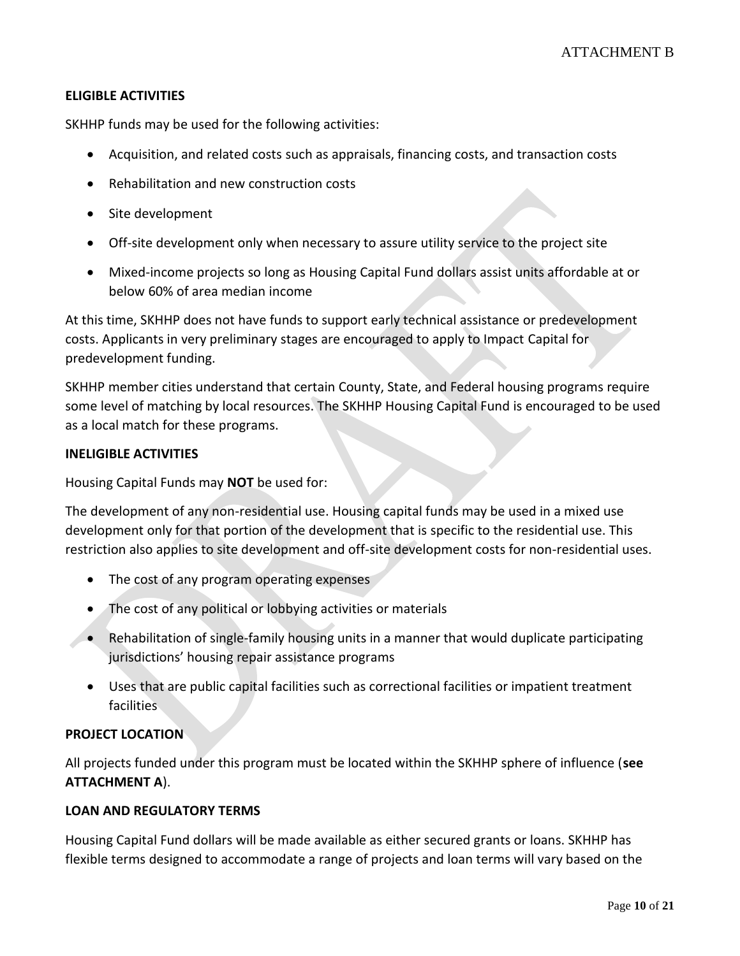### **ELIGIBLE ACTIVITIES**

SKHHP funds may be used for the following activities:

- Acquisition, and related costs such as appraisals, financing costs, and transaction costs
- Rehabilitation and new construction costs
- Site development
- Off-site development only when necessary to assure utility service to the project site
- Mixed-income projects so long as Housing Capital Fund dollars assist units affordable at or below 60% of area median income

At this time, SKHHP does not have funds to support early technical assistance or predevelopment costs. Applicants in very preliminary stages are encouraged to apply to Impact Capital for predevelopment funding.

SKHHP member cities understand that certain County, State, and Federal housing programs require some level of matching by local resources. The SKHHP Housing Capital Fund is encouraged to be used as a local match for these programs.

#### **INELIGIBLE ACTIVITIES**

Housing Capital Funds may **NOT** be used for:

The development of any non-residential use. Housing capital funds may be used in a mixed use development only for that portion of the development that is specific to the residential use. This restriction also applies to site development and off-site development costs for non-residential uses.

- The cost of any program operating expenses
- The cost of any political or lobbying activities or materials
- Rehabilitation of single-family housing units in a manner that would duplicate participating jurisdictions' housing repair assistance programs
- Uses that are public capital facilities such as correctional facilities or impatient treatment facilities

### **PROJECT LOCATION**

All projects funded under this program must be located within the SKHHP sphere of influence (**see ATTACHMENT A**).

### **LOAN AND REGULATORY TERMS**

Housing Capital Fund dollars will be made available as either secured grants or loans. SKHHP has flexible terms designed to accommodate a range of projects and loan terms will vary based on the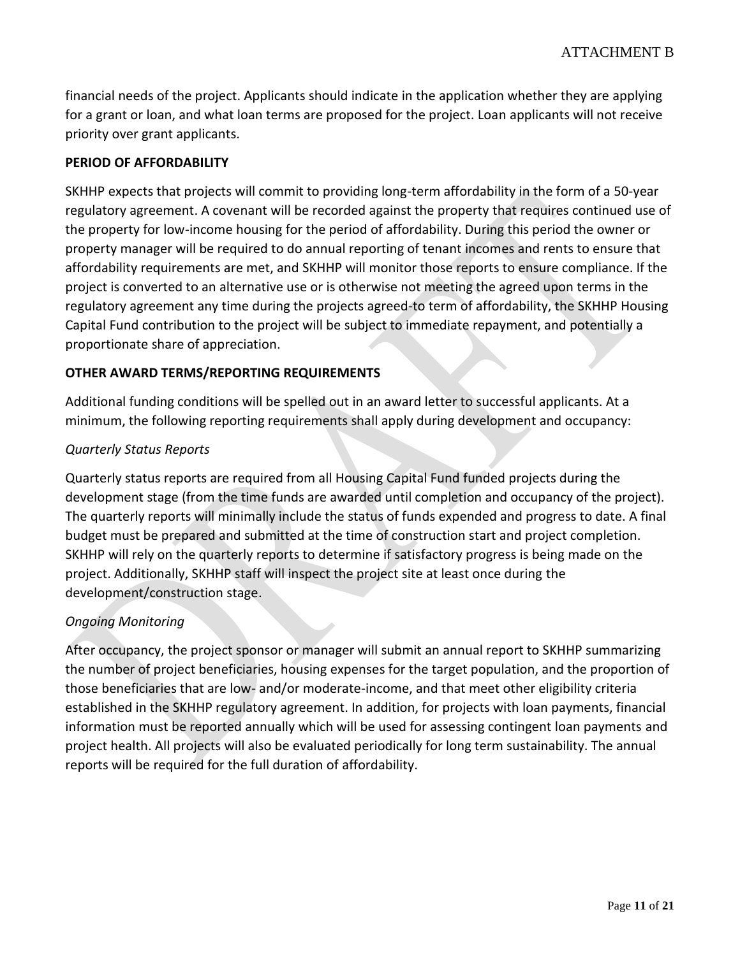financial needs of the project. Applicants should indicate in the application whether they are applying for a grant or loan, and what loan terms are proposed for the project. Loan applicants will not receive priority over grant applicants.

### **PERIOD OF AFFORDABILITY**

SKHHP expects that projects will commit to providing long-term affordability in the form of a 50-year regulatory agreement. A covenant will be recorded against the property that requires continued use of the property for low-income housing for the period of affordability. During this period the owner or property manager will be required to do annual reporting of tenant incomes and rents to ensure that affordability requirements are met, and SKHHP will monitor those reports to ensure compliance. If the project is converted to an alternative use or is otherwise not meeting the agreed upon terms in the regulatory agreement any time during the projects agreed-to term of affordability, the SKHHP Housing Capital Fund contribution to the project will be subject to immediate repayment, and potentially a proportionate share of appreciation.

### **OTHER AWARD TERMS/REPORTING REQUIREMENTS**

Additional funding conditions will be spelled out in an award letter to successful applicants. At a minimum, the following reporting requirements shall apply during development and occupancy:

### *Quarterly Status Reports*

Quarterly status reports are required from all Housing Capital Fund funded projects during the development stage (from the time funds are awarded until completion and occupancy of the project). The quarterly reports will minimally include the status of funds expended and progress to date. A final budget must be prepared and submitted at the time of construction start and project completion. SKHHP will rely on the quarterly reports to determine if satisfactory progress is being made on the project. Additionally, SKHHP staff will inspect the project site at least once during the development/construction stage.

### *Ongoing Monitoring*

After occupancy, the project sponsor or manager will submit an annual report to SKHHP summarizing the number of project beneficiaries, housing expenses for the target population, and the proportion of those beneficiaries that are low- and/or moderate-income, and that meet other eligibility criteria established in the SKHHP regulatory agreement. In addition, for projects with loan payments, financial information must be reported annually which will be used for assessing contingent loan payments and project health. All projects will also be evaluated periodically for long term sustainability. The annual reports will be required for the full duration of affordability.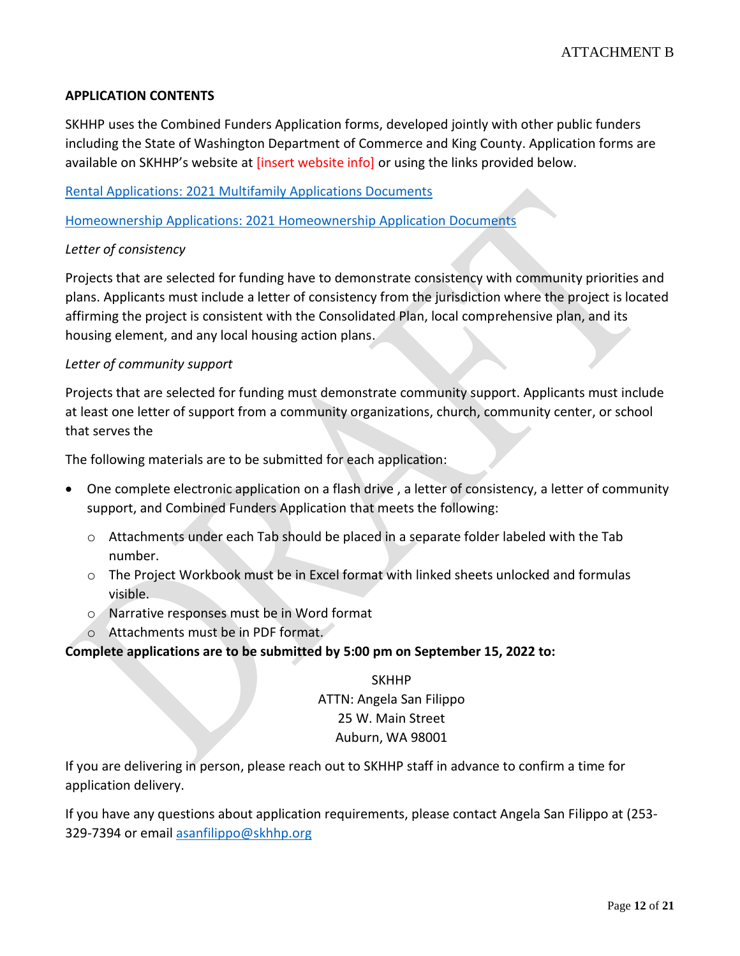### **APPLICATION CONTENTS**

SKHHP uses the Combined Funders Application forms, developed jointly with other public funders including the State of Washington Department of Commerce and King County. Application forms are available on SKHHP's website at [insert website info] or using the links provided below.

[Rental Applications: 2021 Multifamily Applications Documents](https://deptofcommerce.app.box.com/s/7wheoyj07215lh2prjbmmk8g33ob75d4/folder/139359656537)

[Homeownership Applications: 2021 Homeownership Application Documents](https://deptofcommerce.app.box.com/s/7wheoyj07215lh2prjbmmk8g33ob75d4/folder/139359953928)

### *Letter of consistency*

Projects that are selected for funding have to demonstrate consistency with community priorities and plans. Applicants must include a letter of consistency from the jurisdiction where the project is located affirming the project is consistent with the Consolidated Plan, local comprehensive plan, and its housing element, and any local housing action plans.

#### *Letter of community support*

Projects that are selected for funding must demonstrate community support. Applicants must include at least one letter of support from a community organizations, church, community center, or school that serves the

The following materials are to be submitted for each application:

- One complete electronic application on a flash drive , a letter of consistency, a letter of community support, and Combined Funders Application that meets the following:
	- o Attachments under each Tab should be placed in a separate folder labeled with the Tab number.
	- o The Project Workbook must be in Excel format with linked sheets unlocked and formulas visible.
	- o Narrative responses must be in Word format
	- o Attachments must be in PDF format.

### **Complete applications are to be submitted by 5:00 pm on September 15, 2022 to:**

SKHHP ATTN: Angela San Filippo 25 W. Main Street Auburn, WA 98001

If you are delivering in person, please reach out to SKHHP staff in advance to confirm a time for application delivery.

If you have any questions about application requirements, please contact Angela San Filippo at (253- 329-7394 or emai[l asanfilippo@skhhp.org](mailto:asanfilippo@skhhp.org)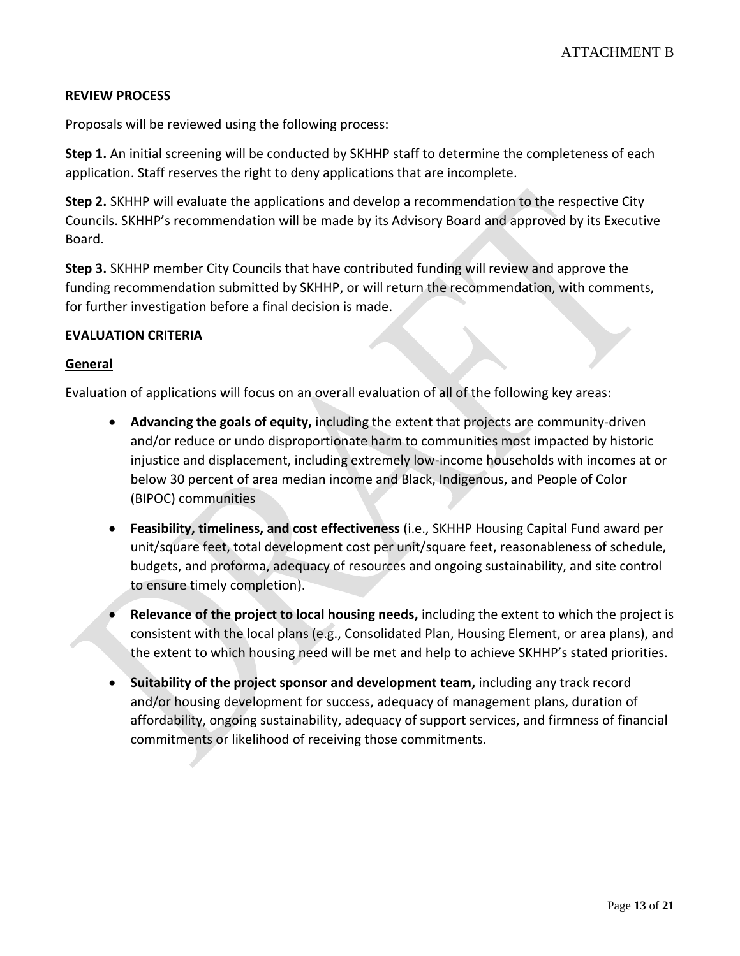### **REVIEW PROCESS**

Proposals will be reviewed using the following process:

**Step 1.** An initial screening will be conducted by SKHHP staff to determine the completeness of each application. Staff reserves the right to deny applications that are incomplete.

**Step 2.** SKHHP will evaluate the applications and develop a recommendation to the respective City Councils. SKHHP's recommendation will be made by its Advisory Board and approved by its Executive Board.

**Step 3.** SKHHP member City Councils that have contributed funding will review and approve the funding recommendation submitted by SKHHP, or will return the recommendation, with comments, for further investigation before a final decision is made.

#### **EVALUATION CRITERIA**

#### **General**

Evaluation of applications will focus on an overall evaluation of all of the following key areas:

- **Advancing the goals of equity,** including the extent that projects are community-driven and/or reduce or undo disproportionate harm to communities most impacted by historic injustice and displacement, including extremely low-income households with incomes at or below 30 percent of area median income and Black, Indigenous, and People of Color (BIPOC) communities
- **Feasibility, timeliness, and cost effectiveness** (i.e., SKHHP Housing Capital Fund award per unit/square feet, total development cost per unit/square feet, reasonableness of schedule, budgets, and proforma, adequacy of resources and ongoing sustainability, and site control to ensure timely completion).
- **Relevance of the project to local housing needs,** including the extent to which the project is consistent with the local plans (e.g., Consolidated Plan, Housing Element, or area plans), and the extent to which housing need will be met and help to achieve SKHHP's stated priorities.
- **Suitability of the project sponsor and development team,** including any track record and/or housing development for success, adequacy of management plans, duration of affordability, ongoing sustainability, adequacy of support services, and firmness of financial commitments or likelihood of receiving those commitments.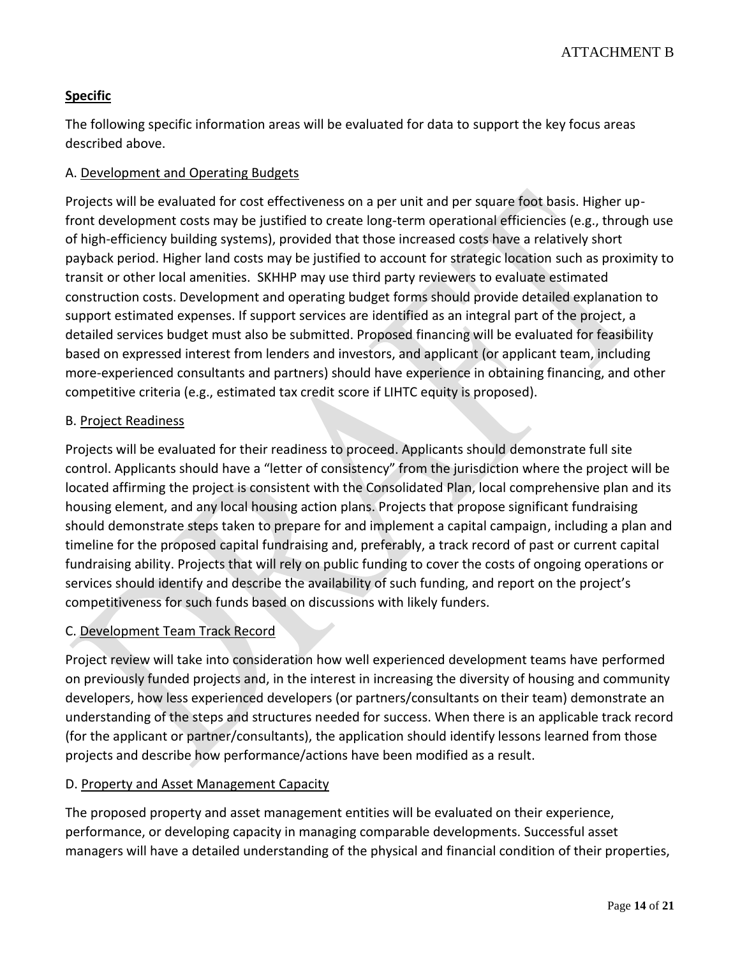# **Specific**

The following specific information areas will be evaluated for data to support the key focus areas described above.

# A. Development and Operating Budgets

Projects will be evaluated for cost effectiveness on a per unit and per square foot basis. Higher upfront development costs may be justified to create long-term operational efficiencies (e.g., through use of high-efficiency building systems), provided that those increased costs have a relatively short payback period. Higher land costs may be justified to account for strategic location such as proximity to transit or other local amenities. SKHHP may use third party reviewers to evaluate estimated construction costs. Development and operating budget forms should provide detailed explanation to support estimated expenses. If support services are identified as an integral part of the project, a detailed services budget must also be submitted. Proposed financing will be evaluated for feasibility based on expressed interest from lenders and investors, and applicant (or applicant team, including more-experienced consultants and partners) should have experience in obtaining financing, and other competitive criteria (e.g., estimated tax credit score if LIHTC equity is proposed).

# B. Project Readiness

Projects will be evaluated for their readiness to proceed. Applicants should demonstrate full site control. Applicants should have a "letter of consistency" from the jurisdiction where the project will be located affirming the project is consistent with the Consolidated Plan, local comprehensive plan and its housing element, and any local housing action plans. Projects that propose significant fundraising should demonstrate steps taken to prepare for and implement a capital campaign, including a plan and timeline for the proposed capital fundraising and, preferably, a track record of past or current capital fundraising ability. Projects that will rely on public funding to cover the costs of ongoing operations or services should identify and describe the availability of such funding, and report on the project's competitiveness for such funds based on discussions with likely funders.

# C. Development Team Track Record

Project review will take into consideration how well experienced development teams have performed on previously funded projects and, in the interest in increasing the diversity of housing and community developers, how less experienced developers (or partners/consultants on their team) demonstrate an understanding of the steps and structures needed for success. When there is an applicable track record (for the applicant or partner/consultants), the application should identify lessons learned from those projects and describe how performance/actions have been modified as a result.

### D. Property and Asset Management Capacity

The proposed property and asset management entities will be evaluated on their experience, performance, or developing capacity in managing comparable developments. Successful asset managers will have a detailed understanding of the physical and financial condition of their properties,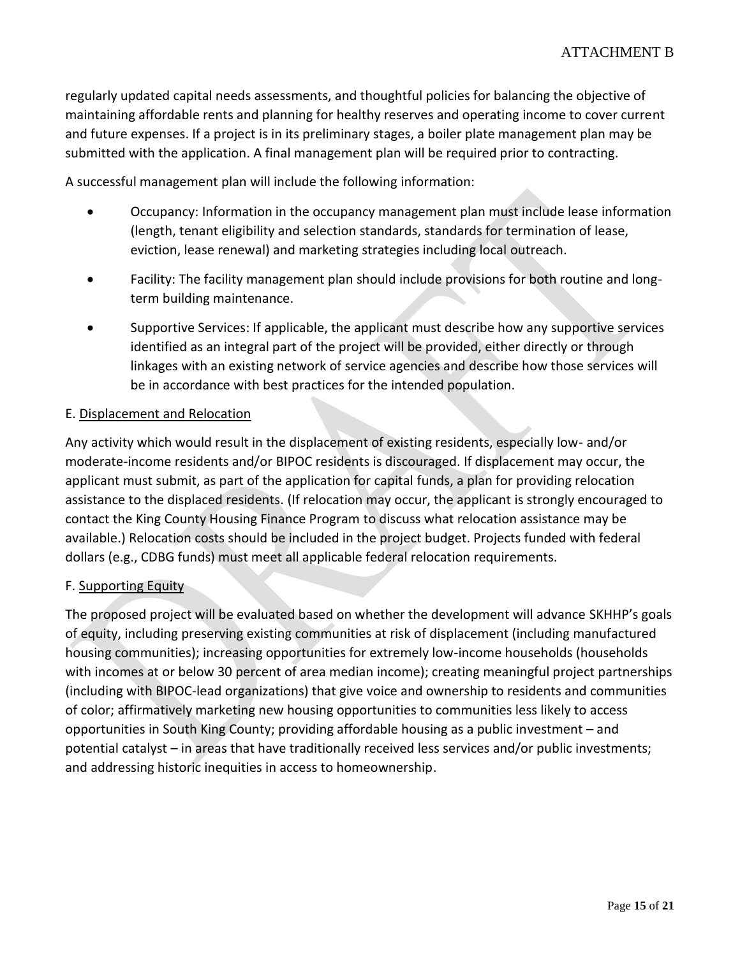regularly updated capital needs assessments, and thoughtful policies for balancing the objective of maintaining affordable rents and planning for healthy reserves and operating income to cover current and future expenses. If a project is in its preliminary stages, a boiler plate management plan may be submitted with the application. A final management plan will be required prior to contracting.

A successful management plan will include the following information:

- Occupancy: Information in the occupancy management plan must include lease information (length, tenant eligibility and selection standards, standards for termination of lease, eviction, lease renewal) and marketing strategies including local outreach.
- Facility: The facility management plan should include provisions for both routine and longterm building maintenance.
- Supportive Services: If applicable, the applicant must describe how any supportive services identified as an integral part of the project will be provided, either directly or through linkages with an existing network of service agencies and describe how those services will be in accordance with best practices for the intended population.

### E. Displacement and Relocation

Any activity which would result in the displacement of existing residents, especially low- and/or moderate-income residents and/or BIPOC residents is discouraged. If displacement may occur, the applicant must submit, as part of the application for capital funds, a plan for providing relocation assistance to the displaced residents. (If relocation may occur, the applicant is strongly encouraged to contact the King County Housing Finance Program to discuss what relocation assistance may be available.) Relocation costs should be included in the project budget. Projects funded with federal dollars (e.g., CDBG funds) must meet all applicable federal relocation requirements.

### F. Supporting Equity

The proposed project will be evaluated based on whether the development will advance SKHHP's goals of equity, including preserving existing communities at risk of displacement (including manufactured housing communities); increasing opportunities for extremely low-income households (households with incomes at or below 30 percent of area median income); creating meaningful project partnerships (including with BIPOC-lead organizations) that give voice and ownership to residents and communities of color; affirmatively marketing new housing opportunities to communities less likely to access opportunities in South King County; providing affordable housing as a public investment – and potential catalyst – in areas that have traditionally received less services and/or public investments; and addressing historic inequities in access to homeownership.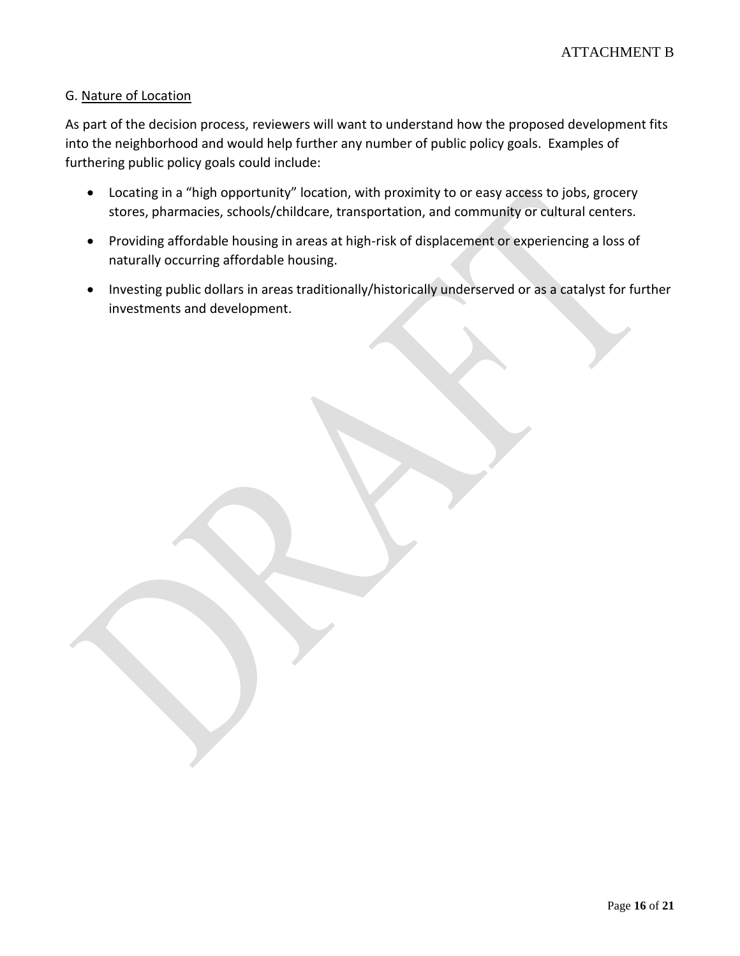### G. Nature of Location

As part of the decision process, reviewers will want to understand how the proposed development fits into the neighborhood and would help further any number of public policy goals. Examples of furthering public policy goals could include:

- Locating in a "high opportunity" location, with proximity to or easy access to jobs, grocery stores, pharmacies, schools/childcare, transportation, and community or cultural centers.
- Providing affordable housing in areas at high-risk of displacement or experiencing a loss of naturally occurring affordable housing.
- Investing public dollars in areas traditionally/historically underserved or as a catalyst for further investments and development.

Page **16** of **21**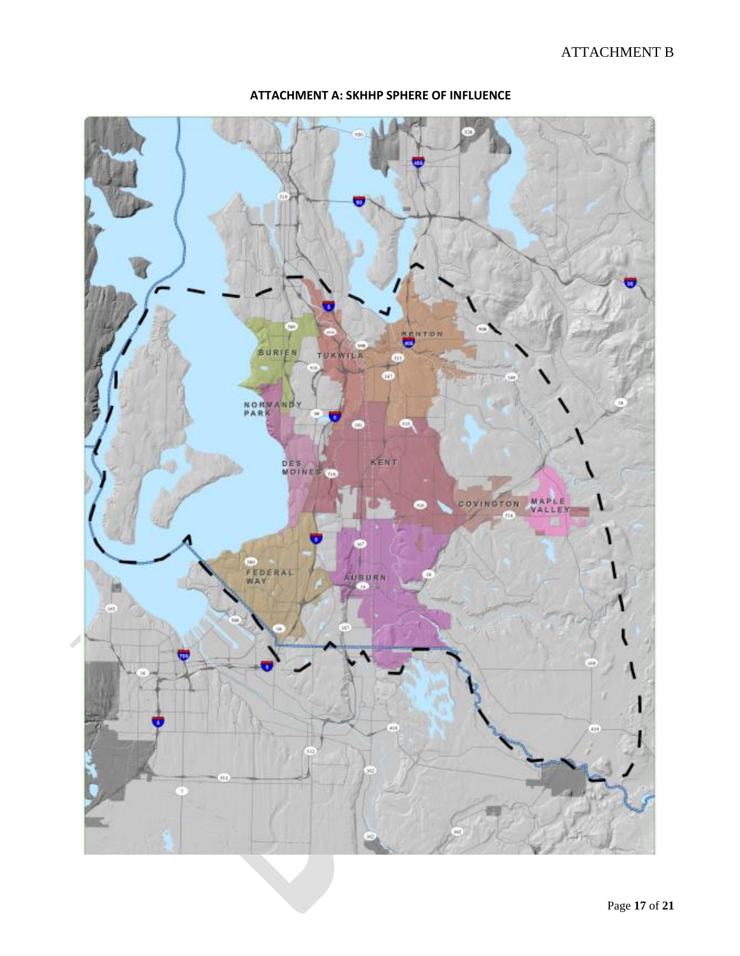# ATTACHMENT B



### **ATTACHMENT A: SKHHP SPHERE OF INFLUENCE**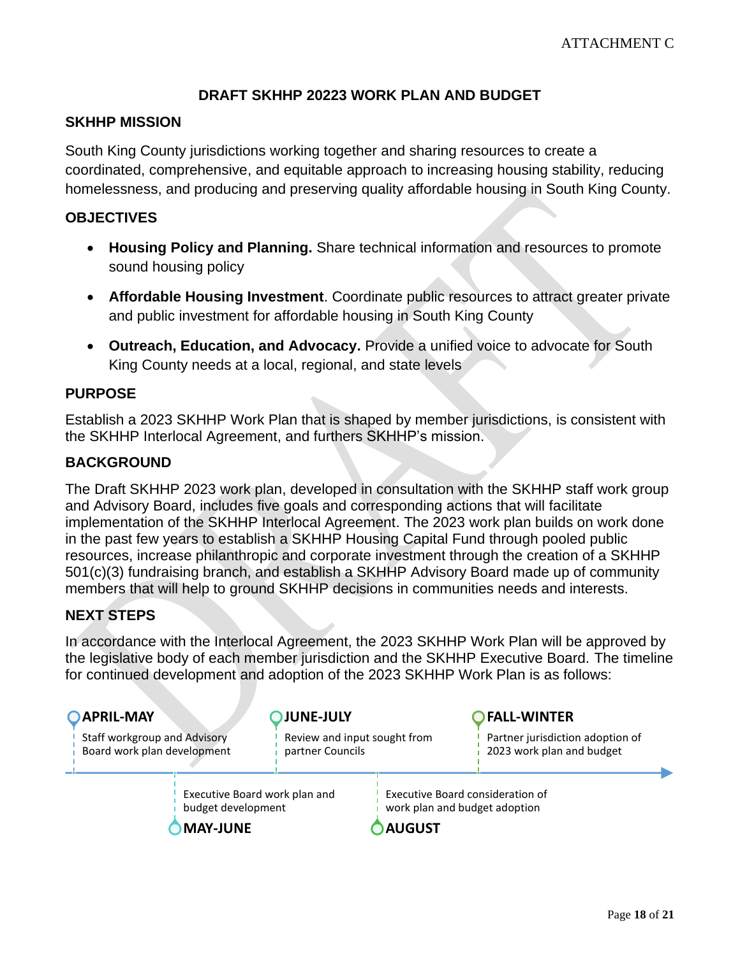# **DRAFT SKHHP 20223 WORK PLAN AND BUDGET**

# <span id="page-14-0"></span>**SKHHP MISSION**

South King County jurisdictions working together and sharing resources to create a coordinated, comprehensive, and equitable approach to increasing housing stability, reducing homelessness, and producing and preserving quality affordable housing in South King County.

# **OBJECTIVES**

- **Housing Policy and Planning.** Share technical information and resources to promote sound housing policy
- **Affordable Housing Investment**. Coordinate public resources to attract greater private and public investment for affordable housing in South King County
- **Outreach, Education, and Advocacy.** Provide a unified voice to advocate for South King County needs at a local, regional, and state levels

# **PURPOSE**

Establish a 2023 SKHHP Work Plan that is shaped by member jurisdictions, is consistent with the SKHHP Interlocal Agreement, and furthers SKHHP's mission.

# **BACKGROUND**

The Draft SKHHP 2023 work plan, developed in consultation with the SKHHP staff work group and Advisory Board, includes five goals and corresponding actions that will facilitate implementation of the SKHHP Interlocal Agreement. The 2023 work plan builds on work done in the past few years to establish a SKHHP Housing Capital Fund through pooled public resources, increase philanthropic and corporate investment through the creation of a SKHHP 501(c)(3) fundraising branch, and establish a SKHHP Advisory Board made up of community members that will help to ground SKHHP decisions in communities needs and interests.

# **NEXT STEPS**

In accordance with the Interlocal Agreement, the 2023 SKHHP Work Plan will be approved by the legislative body of each member jurisdiction and the SKHHP Executive Board. The timeline for continued development and adoption of the 2023 SKHHP Work Plan is as follows:

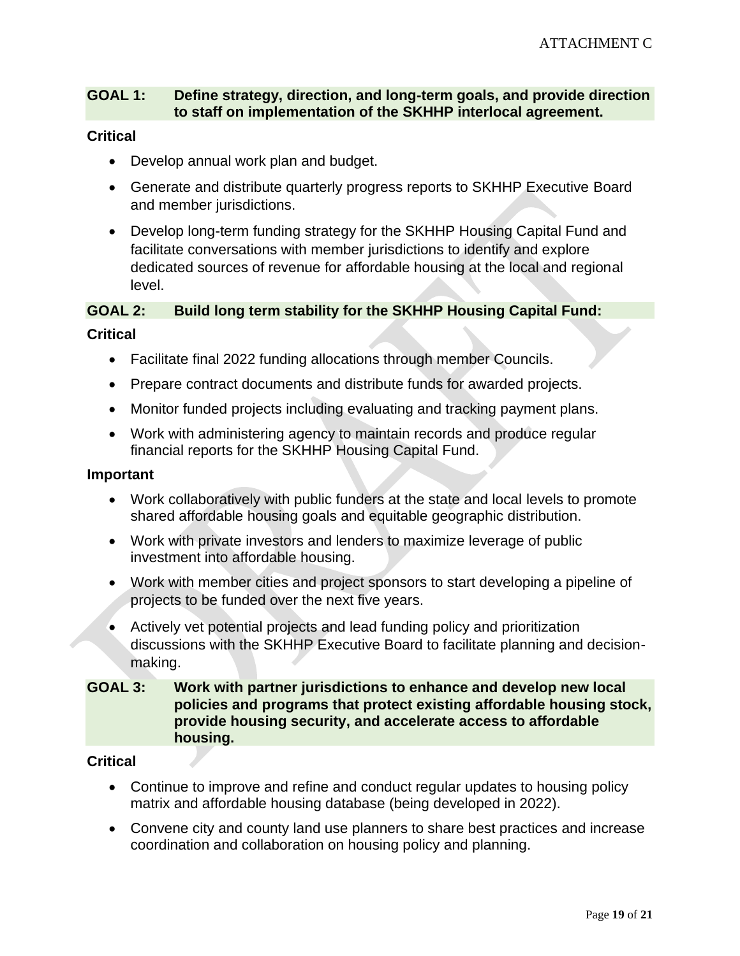# **GOAL 1: Define strategy, direction, and long-term goals, and provide direction to staff on implementation of the SKHHP interlocal agreement.**

### **Critical**

- Develop annual work plan and budget.
- Generate and distribute quarterly progress reports to SKHHP Executive Board and member jurisdictions.
- Develop long-term funding strategy for the SKHHP Housing Capital Fund and facilitate conversations with member jurisdictions to identify and explore dedicated sources of revenue for affordable housing at the local and regional level.

# **GOAL 2: Build long term stability for the SKHHP Housing Capital Fund:**

### **Critical**

- Facilitate final 2022 funding allocations through member Councils.
- Prepare contract documents and distribute funds for awarded projects.
- Monitor funded projects including evaluating and tracking payment plans.
- Work with administering agency to maintain records and produce regular financial reports for the SKHHP Housing Capital Fund.

#### **Important**

- Work collaboratively with public funders at the state and local levels to promote shared affordable housing goals and equitable geographic distribution.
- Work with private investors and lenders to maximize leverage of public investment into affordable housing.
- Work with member cities and project sponsors to start developing a pipeline of projects to be funded over the next five years.
- Actively vet potential projects and lead funding policy and prioritization discussions with the SKHHP Executive Board to facilitate planning and decisionmaking.

# **GOAL 3: Work with partner jurisdictions to enhance and develop new local policies and programs that protect existing affordable housing stock, provide housing security, and accelerate access to affordable housing.**

### **Critical**

- Continue to improve and refine and conduct regular updates to housing policy matrix and affordable housing database (being developed in 2022).
- Convene city and county land use planners to share best practices and increase coordination and collaboration on housing policy and planning.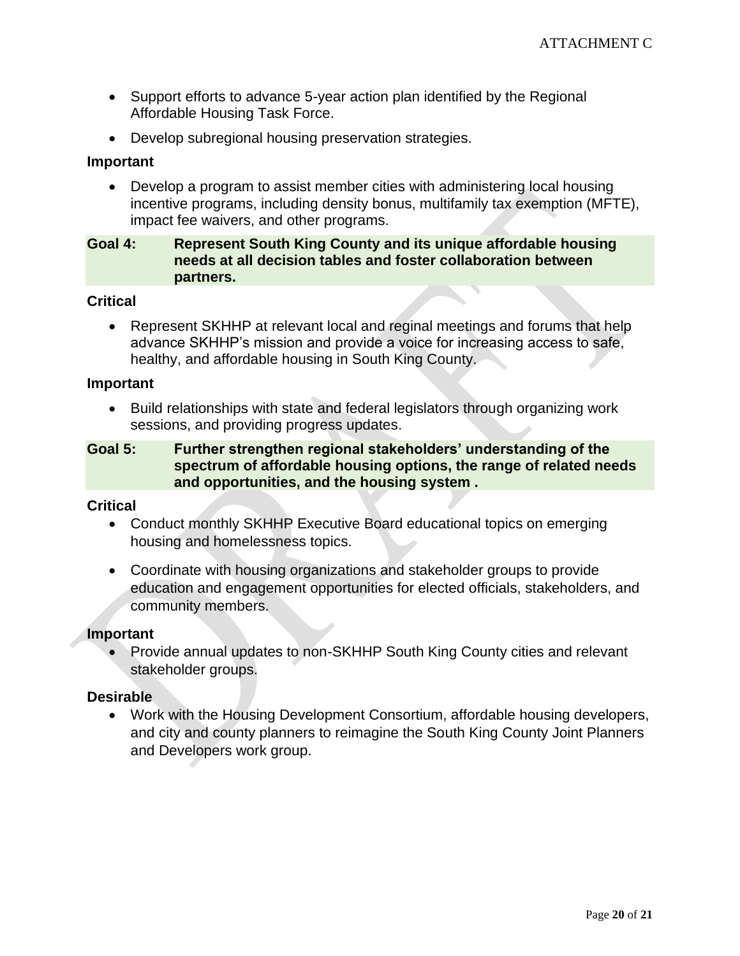- Support efforts to advance 5-year action plan identified by the Regional Affordable Housing Task Force.
- Develop subregional housing preservation strategies.

### **Important**

• Develop a program to assist member cities with administering local housing incentive programs, including density bonus, multifamily tax exemption (MFTE), impact fee waivers, and other programs.

# **Goal 4: Represent South King County and its unique affordable housing needs at all decision tables and foster collaboration between partners.**

### **Critical**

• Represent SKHHP at relevant local and reginal meetings and forums that help advance SKHHP's mission and provide a voice for increasing access to safe, healthy, and affordable housing in South King County.

#### **Important**

• Build relationships with state and federal legislators through organizing work sessions, and providing progress updates.

# **Goal 5: Further strengthen regional stakeholders' understanding of the spectrum of affordable housing options, the range of related needs and opportunities, and the housing system .**

#### **Critical**

- Conduct monthly SKHHP Executive Board educational topics on emerging housing and homelessness topics.
- Coordinate with housing organizations and stakeholder groups to provide education and engagement opportunities for elected officials, stakeholders, and community members.

### **Important**

• Provide annual updates to non-SKHHP South King County cities and relevant stakeholder groups.

#### **Desirable**

• Work with the Housing Development Consortium, affordable housing developers, and city and county planners to reimagine the South King County Joint Planners and Developers work group.